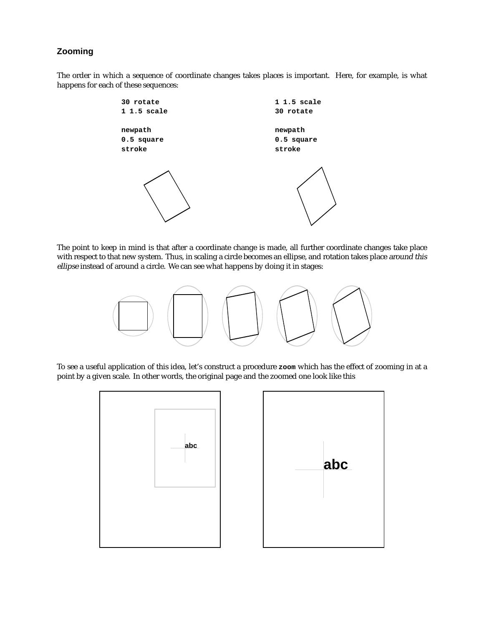## **Zooming**

The order in which a sequence of coordinate changes takes places is important. Here, for example, is what happens for each of these sequences:



The point to keep in mind is that after a coordinate change is made, all further coordinate changes take place with respect to that new system. Thus, in scaling a circle becomes an ellipse, and rotation takes place around this ellipse instead of around a circle. We can see what happens by doing it in stages:



To see a useful application of this idea, let's construct a procedure **zoom** which has the effect of zooming in at a point by a given scale. In other words, the original page and the zoomed one look like this

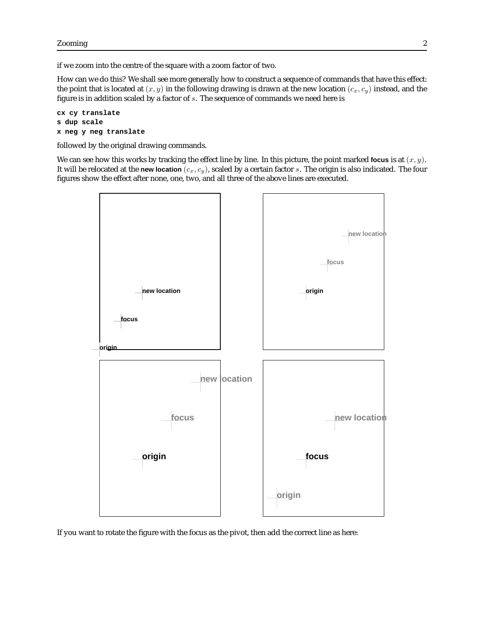if we zoom into the centre of the square with a zoom factor of two.

How can we do this? We shall see more generally how to construct a sequence of commands that have this effect: the point that is located at  $(x, y)$  in the following drawing is drawn at the new location  $(c_x, c_y)$  instead, and the figure is in addition scaled by a factor of  $s$ . The sequence of commands we need here is

```
cx cy translate
s dup scale
x neg y neg translate
```
followed by the original drawing commands.

We can see how this works by tracking the effect line by line. In this picture, the point marked **focus** is at  $(x, y)$ . It will be relocated at the **new location**  $(c_x, c_y)$ , scaled by a certain factor s. The origin is also indicated. The four figures show the effect after none, one, two, and all three of the above lines are executed.



If you want to rotate the figure with the focus as the pivot, then add the correct line as here: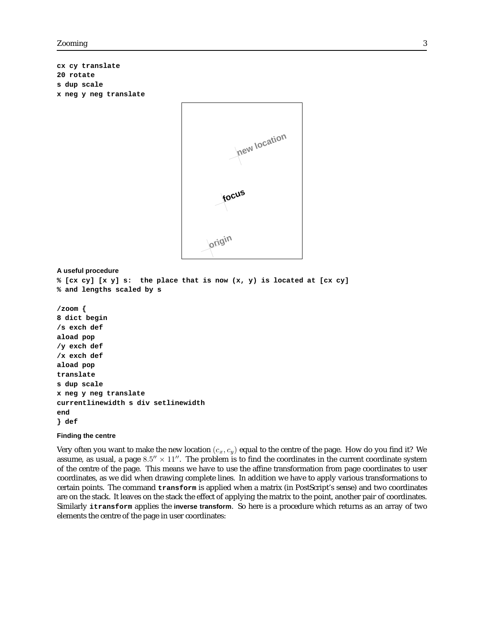**cx cy translate 20 rotate s dup scale x neg y neg translate**



## **A useful procedure**

```
% [cx cy] [x y] s: the place that is now (x, y) is located at [cx cy]
% and lengths scaled by s
/zoom {
8 dict begin
/s exch def
aload pop
/y exch def
/x exch def
aload pop
translate
s dup scale
x neg y neg translate
currentlinewidth s div setlinewidth
end
} def
```
## **Finding the centre**

Very often you want to make the new location  $(c_x, c_y)$  equal to the centre of the page. How do you find it? We assume, as usual, a page  $8.5'' \times 11''$ . The problem is to find the coordinates in the current coordinate system of the centre of the page. This means we have to use the affine transformation from page coordinates to user coordinates, as we did when drawing complete lines. In addition we have to apply various transformations to certain points. The command **transform** is applied when a matrix (in PostScript's sense) and two coordinates are on the stack. It leaves on the stack the effect of applying the matrix to the point, another pair of coordinates. Similarly **itransform** applies the **inverse transform**. So here is a procedure which returns as an array of two elements the centre of the page in user coordinates: